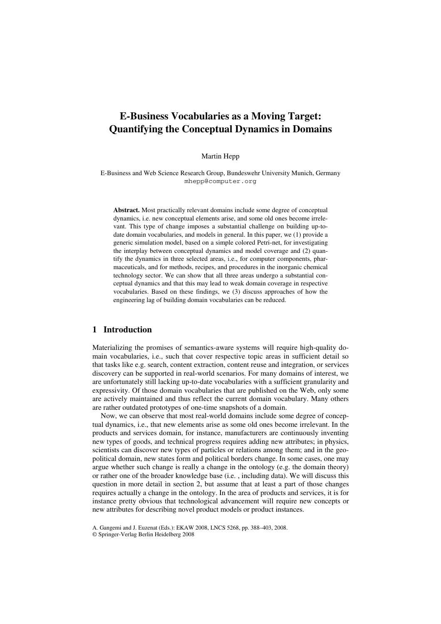# **E-Business Vocabularies as a Moving Target: Quantifying the Conceptual Dynamics in Domains**

Martin Hepp

E-Business and Web Science Research Group, Bundeswehr University Munich, Germany mhepp@computer.org

**Abstract.** Most practically relevant domains include some degree of conceptual dynamics, i.e. new conceptual elements arise, and some old ones become irrelevant. This type of change imposes a substantial challenge on building up-todate domain vocabularies, and models in general. In this paper, we (1) provide a generic simulation model, based on a simple colored Petri-net, for investigating the interplay between conceptual dynamics and model coverage and (2) quantify the dynamics in three selected areas, i.e., for computer components, pharmaceuticals, and for methods, recipes, and procedures in the inorganic chemical technology sector. We can show that all three areas undergo a substantial conceptual dynamics and that this may lead to weak domain coverage in respective vocabularies. Based on these findings, we (3) discuss approaches of how the engineering lag of building domain vocabularies can be reduced.

# **1 Introduction**

Materializing the promises of semantics-aware systems will require high-quality domain vocabularies, i.e., such that cover respective topic areas in sufficient detail so that tasks like e.g. search, content extraction, content reuse and integration, or services discovery can be supported in real-world scenarios. For many domains of interest, we are unfortunately still lacking up-to-date vocabularies with a sufficient granularity and expressivity. Of those domain vocabularies that are published on the Web, only some are actively maintained and thus reflect the current domain vocabulary. Many others are rather outdated prototypes of one-time snapshots of a domain.

Now, we can observe that most real-world domains include some degree of conceptual dynamics, i.e., that new elements arise as some old ones become irrelevant. In the products and services domain, for instance, manufacturers are continuously inventing new types of goods, and technical progress requires adding new attributes; in physics, scientists can discover new types of particles or relations among them; and in the geopolitical domain, new states form and political borders change. In some cases, one may argue whether such change is really a change in the ontology (e.g. the domain theory) or rather one of the broader knowledge base (i.e. , including data). We will discuss this question in more detail in section 2, but assume that at least a part of those changes requires actually a change in the ontology. In the area of products and services, it is for instance pretty obvious that technological advancement will require new concepts or new attributes for describing novel product models or product instances.

A. Gangemi and J. Euzenat (Eds.): EKAW 2008, LNCS 5268, pp. 388–403, 2008.

<sup>©</sup> Springer-Verlag Berlin Heidelberg 2008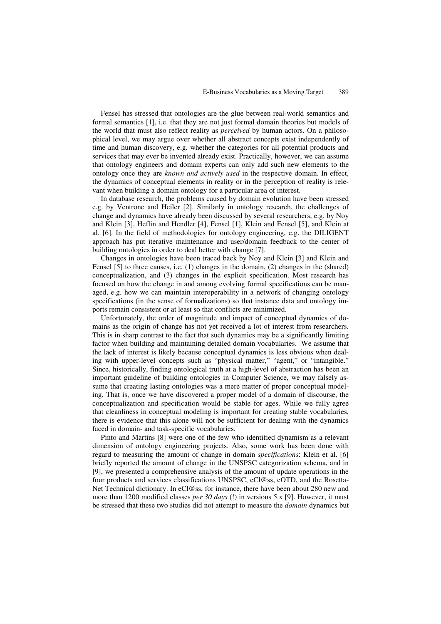Fensel has stressed that ontologies are the glue between real-world semantics and formal semantics [1], i.e. that they are not just formal domain theories but models of the world that must also reflect reality as *perceived* by human actors. On a philosophical level, we may argue over whether all abstract concepts exist independently of time and human discovery, e.g. whether the categories for all potential products and services that may ever be invented already exist. Practically, however, we can assume that ontology engineers and domain experts can only add such new elements to the ontology once they are *known and actively used* in the respective domain. In effect, the dynamics of conceptual elements in reality or in the perception of reality is relevant when building a domain ontology for a particular area of interest.

In database research, the problems caused by domain evolution have been stressed e.g. by Ventrone and Heiler [2]. Similarly in ontology research, the challenges of change and dynamics have already been discussed by several researchers, e.g. by Noy and Klein [3], Heflin and Hendler [4], Fensel [1], Klein and Fensel [5], and Klein at al. [6]. In the field of methodologies for ontology engineering, e.g. the DILIGENT approach has put iterative maintenance and user/domain feedback to the center of building ontologies in order to deal better with change [7].

Changes in ontologies have been traced back by Noy and Klein [3] and Klein and Fensel [5] to three causes, i.e. (1) changes in the domain, (2) changes in the (shared) conceptualization, and (3) changes in the explicit specification. Most research has focused on how the change in and among evolving formal specifications can be managed, e.g. how we can maintain interoperability in a network of changing ontology specifications (in the sense of formalizations) so that instance data and ontology imports remain consistent or at least so that conflicts are minimized.

Unfortunately, the order of magnitude and impact of conceptual dynamics of domains as the origin of change has not yet received a lot of interest from researchers. This is in sharp contrast to the fact that such dynamics may be a significantly limiting factor when building and maintaining detailed domain vocabularies. We assume that the lack of interest is likely because conceptual dynamics is less obvious when dealing with upper-level concepts such as "physical matter," "agent," or "intangible." Since, historically, finding ontological truth at a high-level of abstraction has been an important guideline of building ontologies in Computer Science, we may falsely assume that creating lasting ontologies was a mere matter of proper conceptual modeling. That is, once we have discovered a proper model of a domain of discourse, the conceptualization and specification would be stable for ages. While we fully agree that cleanliness in conceptual modeling is important for creating stable vocabularies, there is evidence that this alone will not be sufficient for dealing with the dynamics faced in domain- and task-specific vocabularies.

Pinto and Martins [8] were one of the few who identified dynamism as a relevant dimension of ontology engineering projects. Also, some work has been done with regard to measuring the amount of change in domain *specifications*: Klein et al. [6] briefly reported the amount of change in the UNSPSC categorization schema, and in [9], we presented a comprehensive analysis of the amount of update operations in the four products and services classifications UNSPSC, eCl@ss, eOTD, and the Rosetta-Net Technical dictionary. In eCl@ss, for instance, there have been about 280 new and more than 1200 modified classes *per 30 days* (!) in versions 5.x [9]. However, it must be stressed that these two studies did not attempt to measure the *domain* dynamics but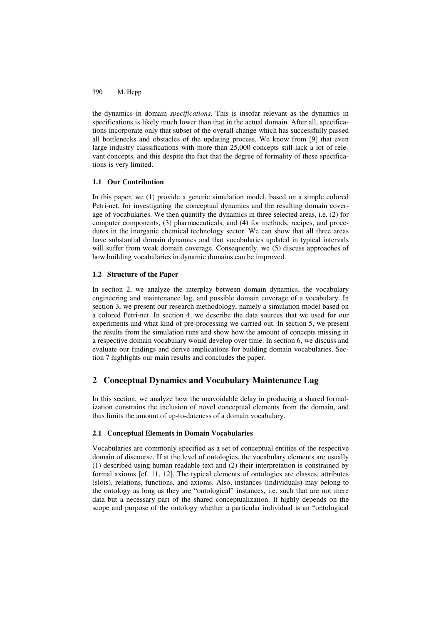the dynamics in domain *specifications*. This is insofar relevant as the dynamics in specifications is likely much lower than that in the actual domain. After all, specifications incorporate only that subset of the overall change which has successfully passed all bottlenecks and obstacles of the updating process. We know from [9] that even large industry classifications with more than 25,000 concepts still lack a lot of relevant concepts, and this despite the fact that the degree of formality of these specifications is very limited.

## **1.1 Our Contribution**

In this paper, we (1) provide a generic simulation model, based on a simple colored Petri-net, for investigating the conceptual dynamics and the resulting domain coverage of vocabularies. We then quantify the dynamics in three selected areas, i.e. (2) for computer components, (3) pharmaceuticals, and (4) for methods, recipes, and procedures in the inorganic chemical technology sector. We can show that all three areas have substantial domain dynamics and that vocabularies updated in typical intervals will suffer from weak domain coverage. Consequently, we (5) discuss approaches of how building vocabularies in dynamic domains can be improved.

#### **1.2 Structure of the Paper**

In section 2, we analyze the interplay between domain dynamics, the vocabulary engineering and maintenance lag, and possible domain coverage of a vocabulary. In section 3, we present our research methodology, namely a simulation model based on a colored Petri-net. In section 4, we describe the data sources that we used for our experiments and what kind of pre-processing we carried out. In section 5, we present the results from the simulation runs and show how the amount of concepts missing in a respective domain vocabulary would develop over time. In section 6, we discuss and evaluate our findings and derive implications for building domain vocabularies. Section 7 highlights our main results and concludes the paper.

# **2 Conceptual Dynamics and Vocabulary Maintenance Lag**

In this section, we analyze how the unavoidable delay in producing a shared formalization constrains the inclusion of novel conceptual elements from the domain, and thus limits the amount of up-to-dateness of a domain vocabulary.

# **2.1 Conceptual Elements in Domain Vocabularies**

Vocabularies are commonly specified as a set of conceptual entities of the respective domain of discourse. If at the level of ontologies, the vocabulary elements are usually (1) described using human readable text and (2) their interpretation is constrained by formal axioms [cf. 11, 12]. The typical elements of ontologies are classes, attributes (slots), relations, functions, and axioms. Also, instances (individuals) may belong to the ontology as long as they are "ontological" instances, i.e. such that are not mere data but a necessary part of the shared conceptualization. It highly depends on the scope and purpose of the ontology whether a particular individual is an "ontological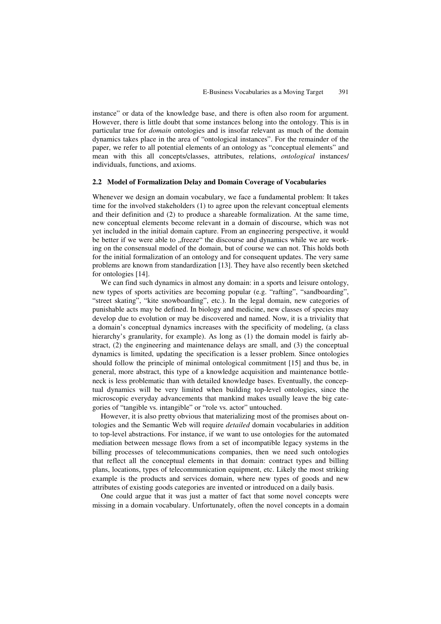instance" or data of the knowledge base, and there is often also room for argument. However, there is little doubt that some instances belong into the ontology. This is in particular true for *domain* ontologies and is insofar relevant as much of the domain dynamics takes place in the area of "ontological instances". For the remainder of the paper, we refer to all potential elements of an ontology as "conceptual elements" and mean with this all concepts/classes, attributes, relations, *ontological* instances/ individuals, functions, and axioms.

### **2.2 Model of Formalization Delay and Domain Coverage of Vocabularies**

Whenever we design an domain vocabulary, we face a fundamental problem: It takes time for the involved stakeholders (1) to agree upon the relevant conceptual elements and their definition and (2) to produce a shareable formalization. At the same time, new conceptual elements become relevant in a domain of discourse, which was not yet included in the initial domain capture. From an engineering perspective, it would be better if we were able to "freeze" the discourse and dynamics while we are working on the consensual model of the domain, but of course we can not. This holds both for the initial formalization of an ontology and for consequent updates. The very same problems are known from standardization [13]. They have also recently been sketched for ontologies [14].

We can find such dynamics in almost any domain: in a sports and leisure ontology, new types of sports activities are becoming popular (e.g. "rafting", "sandboarding", "street skating", "kite snowboarding", etc.). In the legal domain, new categories of punishable acts may be defined. In biology and medicine, new classes of species may develop due to evolution or may be discovered and named. Now, it is a triviality that a domain's conceptual dynamics increases with the specificity of modeling, (a class hierarchy's granularity, for example). As long as (1) the domain model is fairly abstract, (2) the engineering and maintenance delays are small, and (3) the conceptual dynamics is limited, updating the specification is a lesser problem. Since ontologies should follow the principle of minimal ontological commitment [15] and thus be, in general, more abstract, this type of a knowledge acquisition and maintenance bottleneck is less problematic than with detailed knowledge bases. Eventually, the conceptual dynamics will be very limited when building top-level ontologies, since the microscopic everyday advancements that mankind makes usually leave the big categories of "tangible vs. intangible" or "role vs. actor" untouched.

However, it is also pretty obvious that materializing most of the promises about ontologies and the Semantic Web will require *detailed* domain vocabularies in addition to top-level abstractions. For instance, if we want to use ontologies for the automated mediation between message flows from a set of incompatible legacy systems in the billing processes of telecommunications companies, then we need such ontologies that reflect all the conceptual elements in that domain: contract types and billing plans, locations, types of telecommunication equipment, etc. Likely the most striking example is the products and services domain, where new types of goods and new attributes of existing goods categories are invented or introduced on a daily basis.

One could argue that it was just a matter of fact that some novel concepts were missing in a domain vocabulary. Unfortunately, often the novel concepts in a domain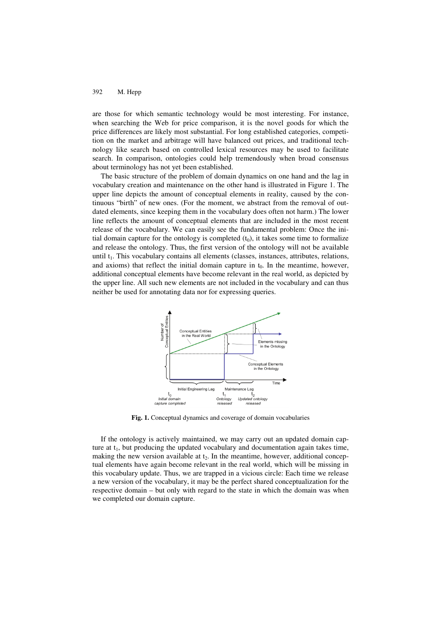are those for which semantic technology would be most interesting. For instance, when searching the Web for price comparison, it is the novel goods for which the price differences are likely most substantial. For long established categories, competition on the market and arbitrage will have balanced out prices, and traditional technology like search based on controlled lexical resources may be used to facilitate search. In comparison, ontologies could help tremendously when broad consensus about terminology has not yet been established.

The basic structure of the problem of domain dynamics on one hand and the lag in vocabulary creation and maintenance on the other hand is illustrated in Figure 1. The upper line depicts the amount of conceptual elements in reality, caused by the continuous "birth" of new ones. (For the moment, we abstract from the removal of outdated elements, since keeping them in the vocabulary does often not harm.) The lower line reflects the amount of conceptual elements that are included in the most recent release of the vocabulary. We can easily see the fundamental problem: Once the initial domain capture for the ontology is completed  $(t_0)$ , it takes some time to formalize and release the ontology. Thus, the first version of the ontology will not be available until  $t_1$ . This vocabulary contains all elements (classes, instances, attributes, relations, and axioms) that reflect the initial domain capture in  $t_0$ . In the meantime, however, additional conceptual elements have become relevant in the real world, as depicted by the upper line. All such new elements are not included in the vocabulary and can thus neither be used for annotating data nor for expressing queries.



**Fig. 1.** Conceptual dynamics and coverage of domain vocabularies

If the ontology is actively maintained, we may carry out an updated domain capture at  $t_1$ , but producing the updated vocabulary and documentation again takes time, making the new version available at  $t<sub>2</sub>$ . In the meantime, however, additional conceptual elements have again become relevant in the real world, which will be missing in this vocabulary update. Thus, we are trapped in a vicious circle: Each time we release a new version of the vocabulary, it may be the perfect shared conceptualization for the respective domain – but only with regard to the state in which the domain was when we completed our domain capture.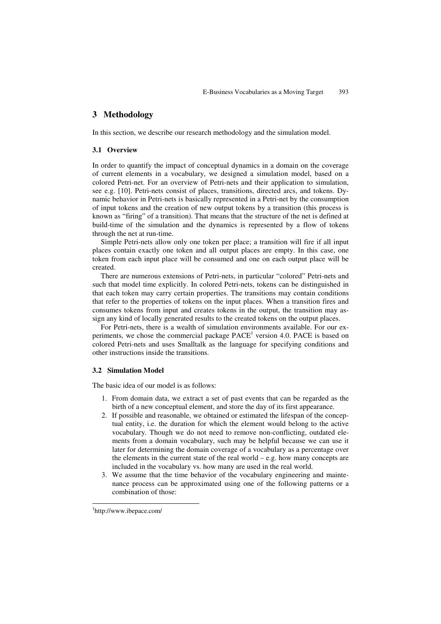# **3 Methodology**

In this section, we describe our research methodology and the simulation model.

## **3.1 Overview**

In order to quantify the impact of conceptual dynamics in a domain on the coverage of current elements in a vocabulary, we designed a simulation model, based on a colored Petri-net. For an overview of Petri-nets and their application to simulation, see e.g. [10]. Petri-nets consist of places, transitions, directed arcs, and tokens. Dynamic behavior in Petri-nets is basically represented in a Petri-net by the consumption of input tokens and the creation of new output tokens by a transition (this process is known as "firing" of a transition). That means that the structure of the net is defined at build-time of the simulation and the dynamics is represented by a flow of tokens through the net at run-time.

Simple Petri-nets allow only one token per place; a transition will fire if all input places contain exactly one token and all output places are empty. In this case, one token from each input place will be consumed and one on each output place will be created.

There are numerous extensions of Petri-nets, in particular "colored" Petri-nets and such that model time explicitly. In colored Petri-nets, tokens can be distinguished in that each token may carry certain properties. The transitions may contain conditions that refer to the properties of tokens on the input places. When a transition fires and consumes tokens from input and creates tokens in the output, the transition may assign any kind of locally generated results to the created tokens on the output places.

For Petri-nets, there is a wealth of simulation environments available. For our experiments, we chose the commercial package  $PACE<sup>1</sup>$  version 4.0. PACE is based on colored Petri-nets and uses Smalltalk as the language for specifying conditions and other instructions inside the transitions.

### **3.2 Simulation Model**

The basic idea of our model is as follows:

- 1. From domain data, we extract a set of past events that can be regarded as the birth of a new conceptual element, and store the day of its first appearance.
- 2. If possible and reasonable, we obtained or estimated the lifespan of the conceptual entity, i.e. the duration for which the element would belong to the active vocabulary. Though we do not need to remove non-conflicting, outdated elements from a domain vocabulary, such may be helpful because we can use it later for determining the domain coverage of a vocabulary as a percentage over the elements in the current state of the real world – e.g. how many concepts are included in the vocabulary vs. how many are used in the real world.
- 3. We assume that the time behavior of the vocabulary engineering and maintenance process can be approximated using one of the following patterns or a combination of those:

j

<sup>1</sup> http://www.ibepace.com/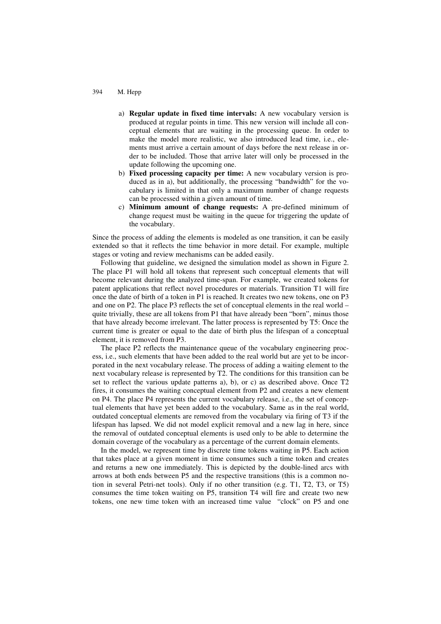- a) **Regular update in fixed time intervals:** A new vocabulary version is produced at regular points in time. This new version will include all conceptual elements that are waiting in the processing queue. In order to make the model more realistic, we also introduced lead time, i.e., elements must arrive a certain amount of days before the next release in order to be included. Those that arrive later will only be processed in the update following the upcoming one.
- b) **Fixed processing capacity per time:** A new vocabulary version is produced as in a), but additionally, the processing "bandwidth" for the vocabulary is limited in that only a maximum number of change requests can be processed within a given amount of time.
- c) **Minimum amount of change requests:** A pre-defined minimum of change request must be waiting in the queue for triggering the update of the vocabulary.

Since the process of adding the elements is modeled as one transition, it can be easily extended so that it reflects the time behavior in more detail. For example, multiple stages or voting and review mechanisms can be added easily.

Following that guideline, we designed the simulation model as shown in Figure 2. The place P1 will hold all tokens that represent such conceptual elements that will become relevant during the analyzed time-span. For example, we created tokens for patent applications that reflect novel procedures or materials. Transition T1 will fire once the date of birth of a token in P1 is reached. It creates two new tokens, one on P3 and one on P2. The place P3 reflects the set of conceptual elements in the real world – quite trivially, these are all tokens from P1 that have already been "born", minus those that have already become irrelevant. The latter process is represented by T5: Once the current time is greater or equal to the date of birth plus the lifespan of a conceptual element, it is removed from P3.

The place P2 reflects the maintenance queue of the vocabulary engineering process, i.e., such elements that have been added to the real world but are yet to be incorporated in the next vocabulary release. The process of adding a waiting element to the next vocabulary release is represented by T2. The conditions for this transition can be set to reflect the various update patterns a), b), or c) as described above. Once T2 fires, it consumes the waiting conceptual element from P2 and creates a new element on P4. The place P4 represents the current vocabulary release, i.e., the set of conceptual elements that have yet been added to the vocabulary. Same as in the real world, outdated conceptual elements are removed from the vocabulary via firing of T3 if the lifespan has lapsed. We did not model explicit removal and a new lag in here, since the removal of outdated conceptual elements is used only to be able to determine the domain coverage of the vocabulary as a percentage of the current domain elements.

In the model, we represent time by discrete time tokens waiting in P5. Each action that takes place at a given moment in time consumes such a time token and creates and returns a new one immediately. This is depicted by the double-lined arcs with arrows at both ends between P5 and the respective transitions (this is a common notion in several Petri-net tools). Only if no other transition (e.g. T1, T2, T3, or T5) consumes the time token waiting on P5, transition T4 will fire and create two new tokens, one new time token with an increased time value "clock" on P5 and one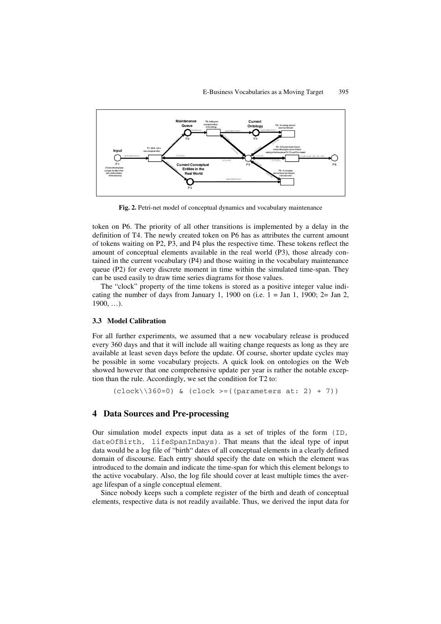

**Fig. 2.** Petri-net model of conceptual dynamics and vocabulary maintenance

token on P6. The priority of all other transitions is implemented by a delay in the definition of T4. The newly created token on P6 has as attributes the current amount of tokens waiting on P2, P3, and P4 plus the respective time. These tokens reflect the amount of conceptual elements available in the real world (P3), those already contained in the current vocabulary (P4) and those waiting in the vocabulary maintenance queue (P2) for every discrete moment in time within the simulated time-span. They can be used easily to draw time series diagrams for those values.

The "clock" property of the time tokens is stored as a positive integer value indicating the number of days from January 1, 1900 on (i.e.  $1 =$  Jan 1, 1900;  $2 =$  Jan 2,  $1900, ...$ ).

### **3.3 Model Calibration**

For all further experiments, we assumed that a new vocabulary release is produced every 360 days and that it will include all waiting change requests as long as they are available at least seven days before the update. Of course, shorter update cycles may be possible in some vocabulary projects. A quick look on ontologies on the Web showed however that one comprehensive update per year is rather the notable exception than the rule. Accordingly, we set the condition for T2 to:

```
(clock\setminus\360=0) & (clock >=((parameters at: 2) + 7))
```
# **4 Data Sources and Pre-processing**

Our simulation model expects input data as a set of triples of the form (ID, dateOfBirth, lifeSpanInDays). That means that the ideal type of input data would be a log file of "birth" dates of all conceptual elements in a clearly defined domain of discourse. Each entry should specify the date on which the element was introduced to the domain and indicate the time-span for which this element belongs to the active vocabulary. Also, the log file should cover at least multiple times the average lifespan of a single conceptual element.

Since nobody keeps such a complete register of the birth and death of conceptual elements, respective data is not readily available. Thus, we derived the input data for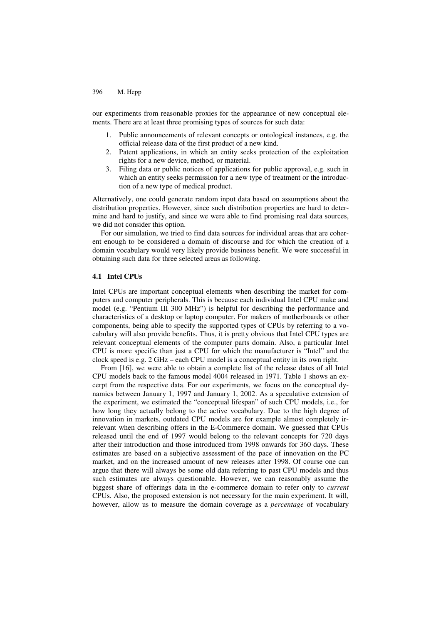our experiments from reasonable proxies for the appearance of new conceptual elements. There are at least three promising types of sources for such data:

- 1. Public announcements of relevant concepts or ontological instances, e.g. the official release data of the first product of a new kind.
- 2. Patent applications, in which an entity seeks protection of the exploitation rights for a new device, method, or material.
- 3. Filing data or public notices of applications for public approval, e.g. such in which an entity seeks permission for a new type of treatment or the introduction of a new type of medical product.

Alternatively, one could generate random input data based on assumptions about the distribution properties. However, since such distribution properties are hard to determine and hard to justify, and since we were able to find promising real data sources, we did not consider this option.

For our simulation, we tried to find data sources for individual areas that are coherent enough to be considered a domain of discourse and for which the creation of a domain vocabulary would very likely provide business benefit. We were successful in obtaining such data for three selected areas as following.

#### **4.1 Intel CPUs**

Intel CPUs are important conceptual elements when describing the market for computers and computer peripherals. This is because each individual Intel CPU make and model (e.g. "Pentium III 300 MHz") is helpful for describing the performance and characteristics of a desktop or laptop computer. For makers of motherboards or other components, being able to specify the supported types of CPUs by referring to a vocabulary will also provide benefits. Thus, it is pretty obvious that Intel CPU types are relevant conceptual elements of the computer parts domain. Also, a particular Intel CPU is more specific than just a CPU for which the manufacturer is "Intel" and the clock speed is e.g. 2 GHz – each CPU model is a conceptual entity in its own right.

From [16], we were able to obtain a complete list of the release dates of all Intel CPU models back to the famous model 4004 released in 1971. Table 1 shows an excerpt from the respective data. For our experiments, we focus on the conceptual dynamics between January 1, 1997 and January 1, 2002. As a speculative extension of the experiment, we estimated the "conceptual lifespan" of such CPU models, i.e., for how long they actually belong to the active vocabulary. Due to the high degree of innovation in markets, outdated CPU models are for example almost completely irrelevant when describing offers in the E-Commerce domain. We guessed that CPUs released until the end of 1997 would belong to the relevant concepts for 720 days after their introduction and those introduced from 1998 onwards for 360 days. These estimates are based on a subjective assessment of the pace of innovation on the PC market, and on the increased amount of new releases after 1998. Of course one can argue that there will always be some old data referring to past CPU models and thus such estimates are always questionable. However, we can reasonably assume the biggest share of offerings data in the e-commerce domain to refer only to *current* CPUs. Also, the proposed extension is not necessary for the main experiment. It will, however, allow us to measure the domain coverage as a *percentage* of vocabulary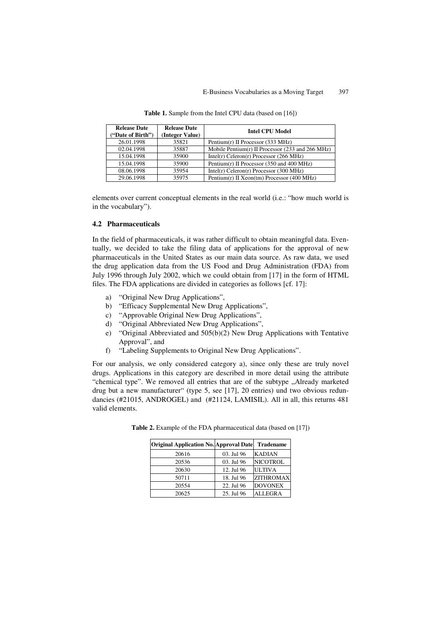| <b>Intel CPU Model</b>                                              |  |
|---------------------------------------------------------------------|--|
|                                                                     |  |
| Mobile Pentium(r) II Processor $(233 \text{ and } 266 \text{ MHz})$ |  |
| $Intel(r)$ Celeron(r) Processor (266 MHz)                           |  |
| Pentium(r) II Processor $(350 \text{ and } 400 \text{ MHz})$        |  |
| $Intel(r)$ Celeron $(r)$ Processor (300 MHz)                        |  |
| Pentium(r) II Xeon(tm) Processor (400 MHz)                          |  |
|                                                                     |  |

Table 1. Sample from the Intel CPU data (based on [16])

elements over current conceptual elements in the real world (i.e.: "how much world is in the vocabulary").

### **4.2 Pharmaceuticals**

In the field of pharmaceuticals, it was rather difficult to obtain meaningful data. Eventually, we decided to take the filing data of applications for the approval of new pharmaceuticals in the United States as our main data source. As raw data, we used the drug application data from the US Food and Drug Administration (FDA) from July 1996 through July 2002, which we could obtain from [17] in the form of HTML files. The FDA applications are divided in categories as follows [cf. 17]:

- a) "Original New Drug Applications",
- b) "Efficacy Supplemental New Drug Applications".
- c) "Approvable Original New Drug Applications",
- d) "Original Abbreviated New Drug Applications",
- e) "Original Abbreviated and 505(b)(2) New Drug Applications with Tentative Approval", and
- f) "Labeling Supplements to Original New Drug Applications".

For our analysis, we only considered category a), since only these are truly novel drugs. Applications in this category are described in more detail using the attribute "chemical type". We removed all entries that are of the subtype "Already marketed drug but a new manufacturer" (type 5, see [17], 20 entries) und two obvious redundancies (#21015, ANDROGEL) and (#21124, LAMISIL). All in all, this returns 481 valid elements.

| <b>Original Application No. Approval Date Tradename</b> |            |                  |
|---------------------------------------------------------|------------|------------------|
| 20616                                                   | 03. Jul 96 | <b>KADIAN</b>    |
| 20536                                                   | 03. Jul 96 | <b>NICOTROL</b>  |
| 20630                                                   | 12. Jul 96 | <b>ULTIVA</b>    |
| 50711                                                   | 18. Jul 96 | <b>ZITHROMAX</b> |
| 20554                                                   | 22. Jul 96 | <b>DOVONEX</b>   |
| 20625                                                   | 25. Jul 96 | <b>ALLEGRA</b>   |

**Table 2.** Example of the FDA pharmaceutical data (based on [17])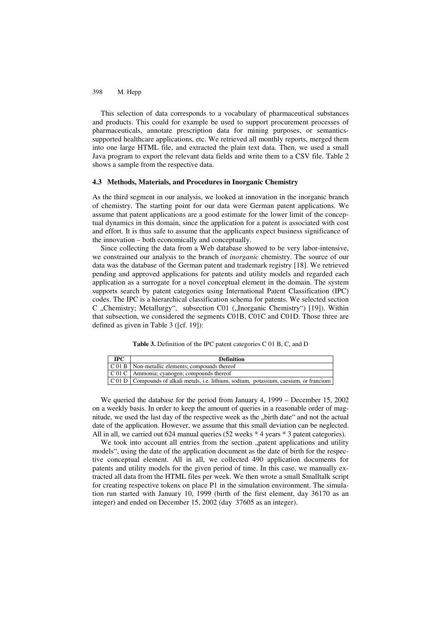This selection of data corresponds to a vocabulary of pharmaceutical substances and products. This could for example be used to support procurement processes of pharmaceuticals, annotate prescription data for mining purposes, or semanticssupported healthcare applications, etc. We retrieved all monthly reports, merged them into one large HTML file, and extracted the plain text data. Then, we used a small Java program to export the relevant data fields and write them to a CSV file. Table 2 shows a sample from the respective data.

#### **4.3 Methods, Materials, and Procedures in Inorganic Chemistry**

As the third segment in our analysis, we looked at innovation in the inorganic branch of chemistry. The starting point for our data were German patent applications. We assume that patent applications are a good estimate for the lower limit of the conceptual dynamics in this domain, since the application for a patent is associated with cost and effort. It is thus safe to assume that the applicants expect business significance of the innovation – both economically and conceptually.

Since collecting the data from a Web database showed to be very labor-intensive, we constrained our analysis to the branch of *inorganic* chemistry. The source of our data was the database of the German patent and trademark registry [18]. We retrieved pending and approved applications for patents and utility models and regarded each application as a surrogate for a novel conceptual element in the domain. The system supports search by patent categories using International Patent Classification (IPC) codes. The IPC is a hierarchical classification schema for patents. We selected section C "Chemistry; Metallurgy", subsection C01 ("Inorganic Chemistry") [19]). Within that subsection, we considered the segments C01B, C01C and C01D. Those three are defined as given in Table 3 ([cf. 19]):

**Table 3.** Definition of the IPC patent categories C 01 B, C, and D

| IPC. | <b>Definition</b>                                                                        |
|------|------------------------------------------------------------------------------------------|
|      | $\sim$ C 01 B   Non-metallic elements; compounds thereof                                 |
|      | $\mid$ C 01 C $\mid$ Ammonia; cyanogen; compounds thereof                                |
|      | C 01 D Compounds of alkali metals, i.e. lithium, sodium, potassium, caesium, or francium |

We queried the database for the period from January 4, 1999 – December 15, 2002 on a weekly basis. In order to keep the amount of queries in a reasonable order of magnitude, we used the last day of the respective week as the "birth date" and not the actual date of the application. However, we assume that this small deviation can be neglected. All in all, we carried out 624 manual queries (52 weeks \* 4 years \* 3 patent categories).

We took into account all entries from the section "patent applications and utility models", using the date of the application document as the date of birth for the respective conceptual element. All in all, we collected 490 application documents for patents and utility models for the given period of time. In this case, we manually extracted all data from the HTML files per week. We then wrote a small Smalltalk script for creating respective tokens on place P1 in the simulation environment. The simulation run started with January 10, 1999 (birth of the first element, day 36170 as an integer) and ended on December 15, 2002 (day 37605 as an integer).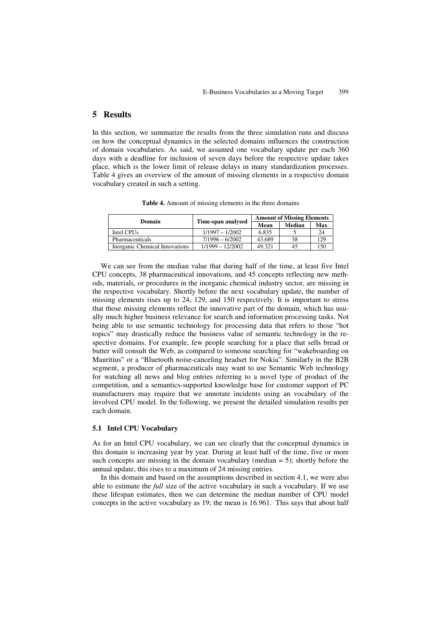### **5 Results**

In this section, we summarize the results from the three simulation runs and discuss on how the conceptual dynamics in the selected domains influences the construction of domain vocabularies. As said, we assumed one vocabulary update per each 360 days with a deadline for inclusion of seven days before the respective update takes place, which is the lower limit of release delays in many standardization processes. Table 4 gives an overview of the amount of missing elements in a respective domain vocabulary created in such a setting.

**Table 4.** Amount of missing elements in the three domains

| Domain                         | Time-span analysed | <b>Amount of Missing Elements</b> |               |     |
|--------------------------------|--------------------|-----------------------------------|---------------|-----|
|                                |                    | Mean                              | <b>Median</b> | Max |
| Intel CPUs                     | $1/1997 - 1/2002$  | 6.835                             |               | 24  |
| Pharmaceuticals                | $7/1996 - 6/2002$  | 43.689                            | 38            | 129 |
| Inorganic Chemical Innovations | $1/1999 - 12/2002$ | 49.321                            | 45            | 150 |

We can see from the median value that during half of the time, at least five Intel CPU concepts, 38 pharmaceutical innovations, and 45 concepts reflecting new methods, materials, or procedures in the inorganic chemical industry sector, are missing in the respective vocabulary. Shortly before the next vocabulary update, the number of missing elements rises up to 24, 129, and 150 respectively. It is important to stress that those missing elements reflect the innovative part of the domain, which has usually much higher business relevance for search and information processing tasks. Not being able to use semantic technology for processing data that refers to those "hot topics" may drastically reduce the business value of semantic technology in the respective domains. For example, few people searching for a place that sells bread or butter will consult the Web, as compared to someone searching for "wakeboarding on Mauritius" or a "Bluetooth noise-canceling headset for Nokia". Similarly in the B2B segment, a producer of pharmaceuticals may want to use Semantic Web technology for watching all news and blog entries referring to a novel type of product of the competition, and a semantics-supported knowledge base for customer support of PC manufacturers may require that we annotate incidents using an vocabulary of the involved CPU model. In the following, we present the detailed simulation results per each domain.

#### **5.1 Intel CPU Vocabulary**

As for an Intel CPU vocabulary, we can see clearly that the conceptual dynamics in this domain is increasing year by year. During at least half of the time, five or more such concepts are missing in the domain vocabulary (median  $= 5$ ); shortly before the annual update, this rises to a maximum of 24 missing entries.

In this domain and based on the assumptions described in section 4.1, we were also able to estimate the *full* size of the active vocabulary in such a vocabulary. If we use these lifespan estimates, then we can determine the median number of CPU model concepts in the active vocabulary as 19; the mean is 16.961. This says that about half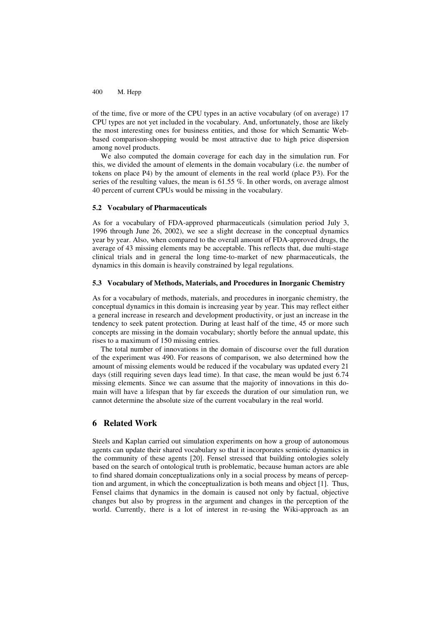of the time, five or more of the CPU types in an active vocabulary (of on average) 17 CPU types are not yet included in the vocabulary. And, unfortunately, those are likely the most interesting ones for business entities, and those for which Semantic Webbased comparison-shopping would be most attractive due to high price dispersion among novel products.

We also computed the domain coverage for each day in the simulation run. For this, we divided the amount of elements in the domain vocabulary (i.e. the number of tokens on place P4) by the amount of elements in the real world (place P3). For the series of the resulting values, the mean is 61.55 %. In other words, on average almost 40 percent of current CPUs would be missing in the vocabulary.

#### **5.2 Vocabulary of Pharmaceuticals**

As for a vocabulary of FDA-approved pharmaceuticals (simulation period July 3, 1996 through June 26, 2002), we see a slight decrease in the conceptual dynamics year by year. Also, when compared to the overall amount of FDA-approved drugs, the average of 43 missing elements may be acceptable. This reflects that, due multi-stage clinical trials and in general the long time-to-market of new pharmaceuticals, the dynamics in this domain is heavily constrained by legal regulations.

#### **5.3 Vocabulary of Methods, Materials, and Procedures in Inorganic Chemistry**

As for a vocabulary of methods, materials, and procedures in inorganic chemistry, the conceptual dynamics in this domain is increasing year by year. This may reflect either a general increase in research and development productivity, or just an increase in the tendency to seek patent protection. During at least half of the time, 45 or more such concepts are missing in the domain vocabulary; shortly before the annual update, this rises to a maximum of 150 missing entries.

The total number of innovations in the domain of discourse over the full duration of the experiment was 490. For reasons of comparison, we also determined how the amount of missing elements would be reduced if the vocabulary was updated every 21 days (still requiring seven days lead time). In that case, the mean would be just 6.74 missing elements. Since we can assume that the majority of innovations in this domain will have a lifespan that by far exceeds the duration of our simulation run, we cannot determine the absolute size of the current vocabulary in the real world.

# **6 Related Work**

Steels and Kaplan carried out simulation experiments on how a group of autonomous agents can update their shared vocabulary so that it incorporates semiotic dynamics in the community of these agents [20]. Fensel stressed that building ontologies solely based on the search of ontological truth is problematic, because human actors are able to find shared domain conceptualizations only in a social process by means of perception and argument, in which the conceptualization is both means and object [1]. Thus, Fensel claims that dynamics in the domain is caused not only by factual, objective changes but also by progress in the argument and changes in the perception of the world. Currently, there is a lot of interest in re-using the Wiki-approach as an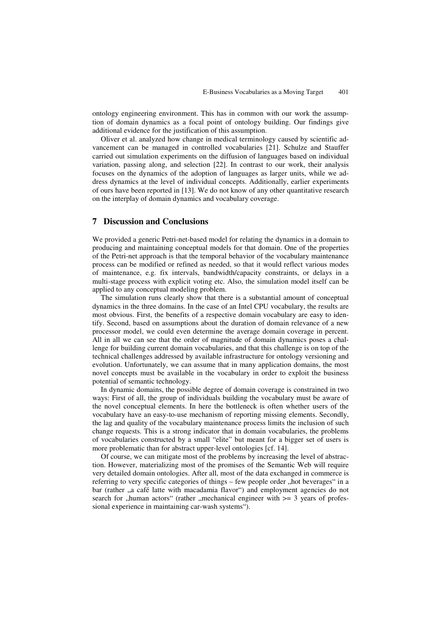ontology engineering environment. This has in common with our work the assumption of domain dynamics as a focal point of ontology building. Our findings give additional evidence for the justification of this assumption.

Oliver et al. analyzed how change in medical terminology caused by scientific advancement can be managed in controlled vocabularies [21]. Schulze and Stauffer carried out simulation experiments on the diffusion of languages based on individual variation, passing along, and selection [22]. In contrast to our work, their analysis focuses on the dynamics of the adoption of languages as larger units, while we address dynamics at the level of individual concepts. Additionally, earlier experiments of ours have been reported in [13]. We do not know of any other quantitative research on the interplay of domain dynamics and vocabulary coverage.

## **7 Discussion and Conclusions**

We provided a generic Petri-net-based model for relating the dynamics in a domain to producing and maintaining conceptual models for that domain. One of the properties of the Petri-net approach is that the temporal behavior of the vocabulary maintenance process can be modified or refined as needed, so that it would reflect various modes of maintenance, e.g. fix intervals, bandwidth/capacity constraints, or delays in a multi-stage process with explicit voting etc. Also, the simulation model itself can be applied to any conceptual modeling problem.

The simulation runs clearly show that there is a substantial amount of conceptual dynamics in the three domains. In the case of an Intel CPU vocabulary, the results are most obvious. First, the benefits of a respective domain vocabulary are easy to identify. Second, based on assumptions about the duration of domain relevance of a new processor model, we could even determine the average domain coverage in percent. All in all we can see that the order of magnitude of domain dynamics poses a challenge for building current domain vocabularies, and that this challenge is on top of the technical challenges addressed by available infrastructure for ontology versioning and evolution. Unfortunately, we can assume that in many application domains, the most novel concepts must be available in the vocabulary in order to exploit the business potential of semantic technology.

In dynamic domains, the possible degree of domain coverage is constrained in two ways: First of all, the group of individuals building the vocabulary must be aware of the novel conceptual elements. In here the bottleneck is often whether users of the vocabulary have an easy-to-use mechanism of reporting missing elements. Secondly, the lag and quality of the vocabulary maintenance process limits the inclusion of such change requests. This is a strong indicator that in domain vocabularies, the problems of vocabularies constructed by a small "elite" but meant for a bigger set of users is more problematic than for abstract upper-level ontologies [cf. 14].

Of course, we can mitigate most of the problems by increasing the level of abstraction. However, materializing most of the promises of the Semantic Web will require very detailed domain ontologies. After all, most of the data exchanged in commerce is referring to very specific categories of things – few people order "hot beverages" in a bar (rather "a café latte with macadamia flavor") and employment agencies do not search for "human actors" (rather "mechanical engineer with  $\geq$  3 years of professional experience in maintaining car-wash systems").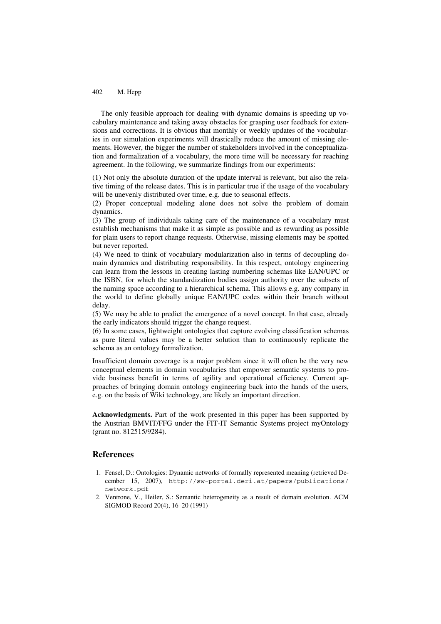The only feasible approach for dealing with dynamic domains is speeding up vocabulary maintenance and taking away obstacles for grasping user feedback for extensions and corrections. It is obvious that monthly or weekly updates of the vocabularies in our simulation experiments will drastically reduce the amount of missing elements. However, the bigger the number of stakeholders involved in the conceptualization and formalization of a vocabulary, the more time will be necessary for reaching agreement. In the following, we summarize findings from our experiments:

(1) Not only the absolute duration of the update interval is relevant, but also the relative timing of the release dates. This is in particular true if the usage of the vocabulary will be unevenly distributed over time, e.g. due to seasonal effects.

(2) Proper conceptual modeling alone does not solve the problem of domain dynamics.

(3) The group of individuals taking care of the maintenance of a vocabulary must establish mechanisms that make it as simple as possible and as rewarding as possible for plain users to report change requests. Otherwise, missing elements may be spotted but never reported.

(4) We need to think of vocabulary modularization also in terms of decoupling domain dynamics and distributing responsibility. In this respect, ontology engineering can learn from the lessons in creating lasting numbering schemas like EAN/UPC or the ISBN, for which the standardization bodies assign authority over the subsets of the naming space according to a hierarchical schema. This allows e.g. any company in the world to define globally unique EAN/UPC codes within their branch without delay.

(5) We may be able to predict the emergence of a novel concept. In that case, already the early indicators should trigger the change request.

(6) In some cases, lightweight ontologies that capture evolving classification schemas as pure literal values may be a better solution than to continuously replicate the schema as an ontology formalization.

Insufficient domain coverage is a major problem since it will often be the very new conceptual elements in domain vocabularies that empower semantic systems to provide business benefit in terms of agility and operational efficiency. Current approaches of bringing domain ontology engineering back into the hands of the users, e.g. on the basis of Wiki technology, are likely an important direction.

**Acknowledgments.** Part of the work presented in this paper has been supported by the Austrian BMVIT/FFG under the FIT-IT Semantic Systems project myOntology (grant no. 812515/9284).

# **References**

- 1. Fensel, D.: Ontologies: Dynamic networks of formally represented meaning (retrieved December 15, 2007), http://sw-portal.deri.at/papers/publications/ network.pdf
- 2. Ventrone, V., Heiler, S.: Semantic heterogeneity as a result of domain evolution. ACM SIGMOD Record 20(4), 16–20 (1991)